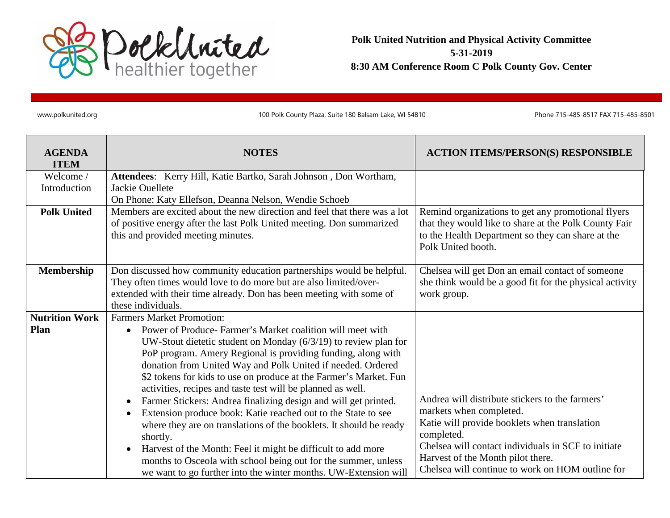

**Polk United Nutrition and Physical Activity Committee 5-31-2019 8:30 AM Conference Room C Polk County Gov. Center**

www.polkunited.org 100 Polk County Plaza, Suite 180 Balsam Lake, WI 54810 Phone 715-485-8517 FAX 715-485-8501

| <b>AGENDA</b><br><b>ITEM</b> | <b>NOTES</b>                                                                                                                                     | <b>ACTION ITEMS/PERSON(S) RESPONSIBLE</b>                                                                  |
|------------------------------|--------------------------------------------------------------------------------------------------------------------------------------------------|------------------------------------------------------------------------------------------------------------|
| Welcome /                    | Attendees: Kerry Hill, Katie Bartko, Sarah Johnson, Don Wortham,                                                                                 |                                                                                                            |
| Introduction                 | Jackie Ouellete                                                                                                                                  |                                                                                                            |
|                              | On Phone: Katy Ellefson, Deanna Nelson, Wendie Schoeb                                                                                            |                                                                                                            |
| <b>Polk United</b>           | Members are excited about the new direction and feel that there was a lot                                                                        | Remind organizations to get any promotional flyers                                                         |
|                              | of positive energy after the last Polk United meeting. Don summarized<br>this and provided meeting minutes.                                      | that they would like to share at the Polk County Fair<br>to the Health Department so they can share at the |
|                              |                                                                                                                                                  | Polk United booth.                                                                                         |
|                              |                                                                                                                                                  |                                                                                                            |
| Membership                   | Don discussed how community education partnerships would be helpful.                                                                             | Chelsea will get Don an email contact of someone                                                           |
|                              | They often times would love to do more but are also limited/over-                                                                                | she think would be a good fit for the physical activity                                                    |
|                              | extended with their time already. Don has been meeting with some of                                                                              | work group.                                                                                                |
|                              | these individuals.                                                                                                                               |                                                                                                            |
| <b>Nutrition Work</b>        | <b>Farmers Market Promotion:</b>                                                                                                                 |                                                                                                            |
| Plan                         | Power of Produce-Farmer's Market coalition will meet with<br>$\bullet$                                                                           |                                                                                                            |
|                              | UW-Stout dietetic student on Monday $(6/3/19)$ to review plan for                                                                                |                                                                                                            |
|                              | PoP program. Amery Regional is providing funding, along with                                                                                     |                                                                                                            |
|                              | donation from United Way and Polk United if needed. Ordered                                                                                      |                                                                                                            |
|                              | \$2 tokens for kids to use on produce at the Farmer's Market. Fun                                                                                |                                                                                                            |
|                              | activities, recipes and taste test will be planned as well.                                                                                      | Andrea will distribute stickers to the farmers'                                                            |
|                              | Farmer Stickers: Andrea finalizing design and will get printed.<br>$\bullet$                                                                     | markets when completed.                                                                                    |
|                              | Extension produce book: Katie reached out to the State to see<br>$\bullet$<br>where they are on translations of the booklets. It should be ready | Katie will provide booklets when translation                                                               |
|                              | shortly.                                                                                                                                         | completed.                                                                                                 |
|                              | Harvest of the Month: Feel it might be difficult to add more<br>$\bullet$                                                                        | Chelsea will contact individuals in SCF to initiate                                                        |
|                              | months to Osceola with school being out for the summer, unless                                                                                   | Harvest of the Month pilot there.                                                                          |
|                              | we want to go further into the winter months. UW-Extension will                                                                                  | Chelsea will continue to work on HOM outline for                                                           |